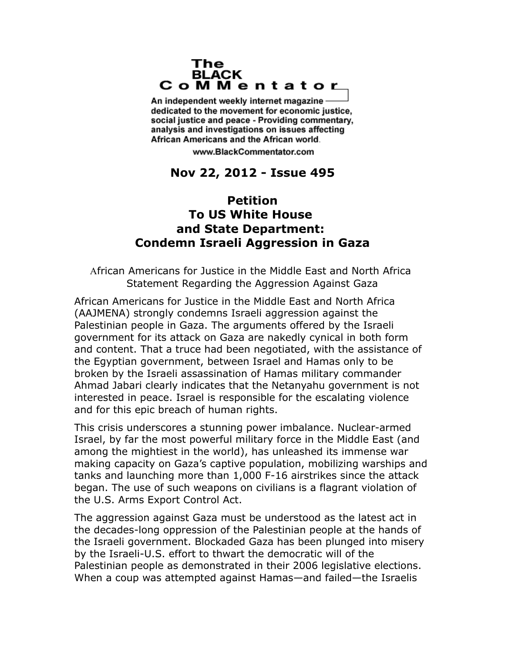## The **BLACK** CoMMentator

An independent weekly internet magazine dedicated to the movement for economic justice. social justice and peace - Providing commentary, analysis and investigations on issues affecting African Americans and the African world.

www.BlackCommentator.com

## **Nov 22, 2012 - Issue 495**

## **Petition To US White House and State Department: Condemn Israeli Aggression in Gaza**

African Americans for Justice in the Middle East and North Africa Statement Regarding the Aggression Against Gaza

African Americans for Justice in the Middle East and North Africa (AAJMENA) strongly condemns Israeli aggression against the Palestinian people in Gaza. The arguments offered by the Israeli government for its attack on Gaza are nakedly cynical in both form and content. That a truce had been negotiated, with the assistance of the Egyptian government, between Israel and Hamas only to be broken by the Israeli assassination of Hamas military commander Ahmad Jabari clearly indicates that the Netanyahu government is not interested in peace. Israel is responsible for the escalating violence and for this epic breach of human rights.

This crisis underscores a stunning power imbalance. Nuclear-armed Israel, by far the most powerful military force in the Middle East (and among the mightiest in the world), has unleashed its immense war making capacity on Gaza's captive population, mobilizing warships and tanks and launching more than 1,000 F-16 airstrikes since the attack began. The use of such weapons on civilians is a flagrant violation of the U.S. Arms Export Control Act.

The aggression against Gaza must be understood as the latest act in the decades-long oppression of the Palestinian people at the hands of the Israeli government. Blockaded Gaza has been plunged into misery by the Israeli-U.S. effort to thwart the democratic will of the Palestinian people as demonstrated in their 2006 legislative elections. When a coup was attempted against Hamas—and failed—the Israelis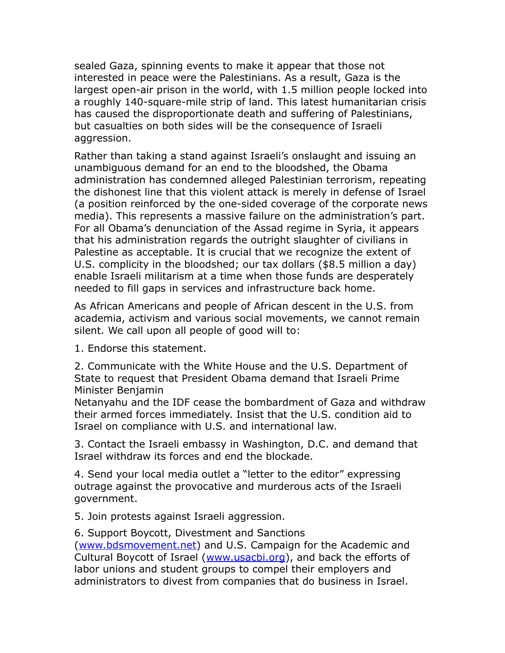sealed Gaza, spinning events to make it appear that those not interested in peace were the Palestinians. As a result, Gaza is the largest open-air prison in the world, with 1.5 million people locked into a roughly 140-square-mile strip of land. This latest humanitarian crisis has caused the disproportionate death and suffering of Palestinians, but casualties on both sides will be the consequence of Israeli aggression.

Rather than taking a stand against Israeli's onslaught and issuing an unambiguous demand for an end to the bloodshed, the Obama administration has condemned alleged Palestinian terrorism, repeating the dishonest line that this violent attack is merely in defense of Israel (a position reinforced by the one-sided coverage of the corporate news media). This represents a massive failure on the administration's part. For all Obama's denunciation of the Assad regime in Syria, it appears that his administration regards the outright slaughter of civilians in Palestine as acceptable. It is crucial that we recognize the extent of U.S. complicity in the bloodshed; our tax dollars (\$8.5 million a day) enable Israeli militarism at a time when those funds are desperately needed to fill gaps in services and infrastructure back home.

As African Americans and people of African descent in the U.S. from academia, activism and various social movements, we cannot remain silent. We call upon all people of good will to:

1. Endorse this statement.

2. Communicate with the White House and the U.S. Department of State to request that President Obama demand that Israeli Prime Minister Benjamin

Netanyahu and the IDF cease the bombardment of Gaza and withdraw their armed forces immediately. Insist that the U.S. condition aid to Israel on compliance with U.S. and international law.

3. Contact the Israeli embassy in Washington, D.C. and demand that Israel withdraw its forces and end the blockade.

4. Send your local media outlet a "letter to the editor" expressing outrage against the provocative and murderous acts of the Israeli government.

5. Join protests against Israeli aggression.

6. Support Boycott, Divestment and Sanctions [\(www.bdsmovement.net\)](http://www.bdsmovement.net/) and U.S. Campaign for the Academic and Cultural Boycott of Israel [\(www.usacbi.org\)](http://www.usacbi.org/), and back the efforts of labor unions and student groups to compel their employers and administrators to divest from companies that do business in Israel.